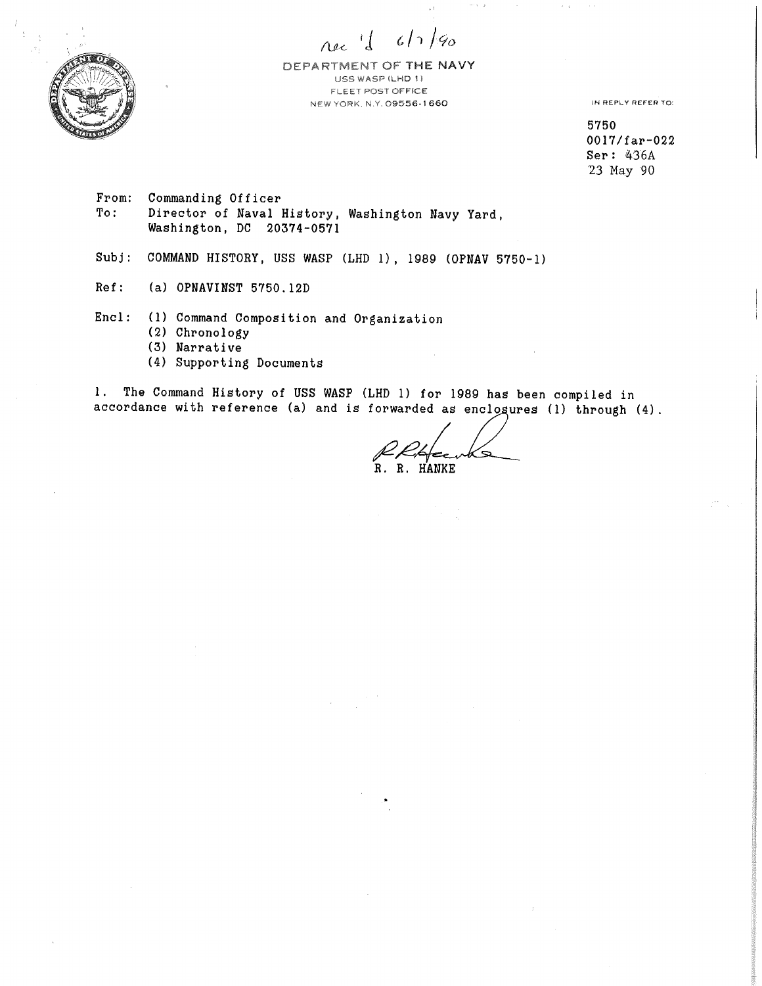

*fl.a<-* <sup>1</sup>*i* '/ 1 J *rf<)*  DEPARTMENT OF THE NAVY USS WASP (LHD 1) FLEET POST OFFICE NEW YORK, N.Y. 09556-1660

لى بالس

 $\downarrow$  f

JN REPLY REFER TO:

5750 0017/far-022 Ser: 436A 23 May 90

- From: Commanding Officer To: Director of Naval History, Washington Navy Yard, Washington, DC 20374-0571
- Subj: COMMAND HISTORY, USS WASP (LHD 1), 1989 (OPNAV 5750-1)
- Ref: (a) OPNAVINST 5750.12D

Encl: (1) Command Composition and Organization

- (2) Chronology
- (3) Narrative
- (4) Supporting Documents

1. The Command History of USS WASP (LHD 1) for 1989 has been compiled in accordance with reference (a) and is forwarded as enclosures (1) through (4).

R. R. HANKE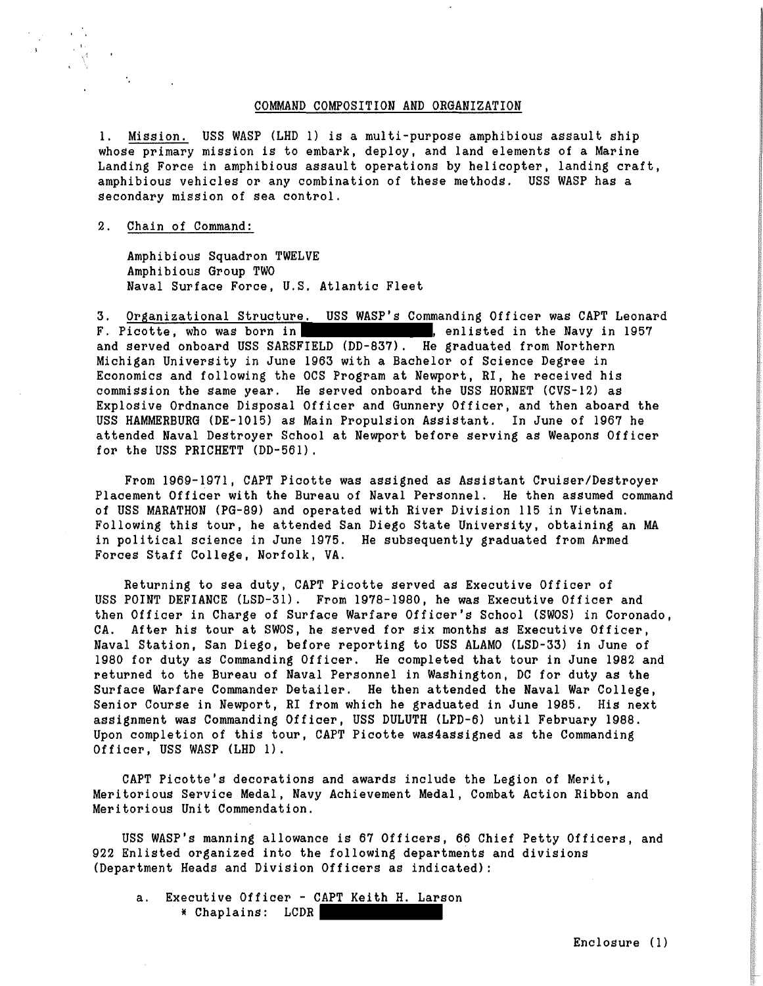## COMMAND COMPOSITION AND ORGANIZATION

1. Mission. USS WASP (LHD 1) is a multi-purpose amphibious assault ship whose primary mission is to embark, deploy, and land elements of a Marine Landing Force in amphibious assault operations by helicopter, landing craft, amphibious vehicles or any combination of these methods. USS WASP has a secondary mission of sea control.

2. Chain of Command:

Amphibious Squadron TWELVE Amphibious Group TWO Naval Surface Force, U.S. Atlantic Fleet

3. Organizational Structure. USS WASP's Commanding Officer was CAPT Leonard<br>F. Picotte, who was born in F. Philasted in the Navy in 1957 and served onboard USS SARSFIELD (DD-837) . He graduated from Northern Michigan University in June 1963 with a Bachelor of Science Degree in Economics and following the OCS Program at Newport, RI, he received his commission the same year. He served onboard the USS HORNET (CVS-12) as Explosive Ordnance Disposal Officer and Gunnery Officer, and then aboard the USS HAMMERBURG (DE-1015) as Main Propulsion Assistant. In June of 1967 he attended Naval Destroyer School at Newport before serving as Weapons Officer for the USS PRICHETT (DD-561).

From 1969-1971, CAPT Picotte was assigned as Assistant Cruiser/Destroyer Placement Officer with the Bureau of Naval Personnel. He then assumed command of USS MARATHON (PG-89) and operated with River Division 115 in Vietnam. Following this tour, he attended San Diego State University, obtaining an MA in political science in June 1975. He subsequently graduated from Armed Forces Staff College, Norfolk, VA.

Returning to sea duty, CAPT Picotte served as Executive Officer of USS POINT DEFIANCE (LSD-31). From 1978-1980, he was Executive Officer and then Officer in Charge of Surface Warfare Officer's School (SWOS) in Coronado, CA. After his tour at SWOS, he served for six months as Executive Officer, Naval Station, San Diego, before reporting to USS ALAMO (LSD-33) in June of 1980 for duty as Commanding Officer. He completed that tour in June 1982 and returned to the Bureau of Naval Personnel in Washington, DC for duty as the Surface Warfare Commander Detailer. He then attended the Naval War College, Senior Course in Newport, RI from which he graduated in June 1985. His next assignment was Commanding Officer, USS DULUTH (LPD-6) until February 1988. Upon completion of this tour, CAPT Picotte was4assigned as the Commanding Officer, USS WASP (LHD 1).

CAPT Picotte's decorations and awards include the Legion of Merit, Meritorious Service Medal, Navy Achievement Medal, Combat Action Ribbon and Meritorious Unit Commendation.

USS WASP's manning allowance is 67 Officers, *66* Chief Petty Officers, and 922 Enlisted organized into the following departments and divisions (Department Heads and Division Officers as indicated):

a. Executive Officer - CAPT Keith H. Larson \* Chaplains: LCDR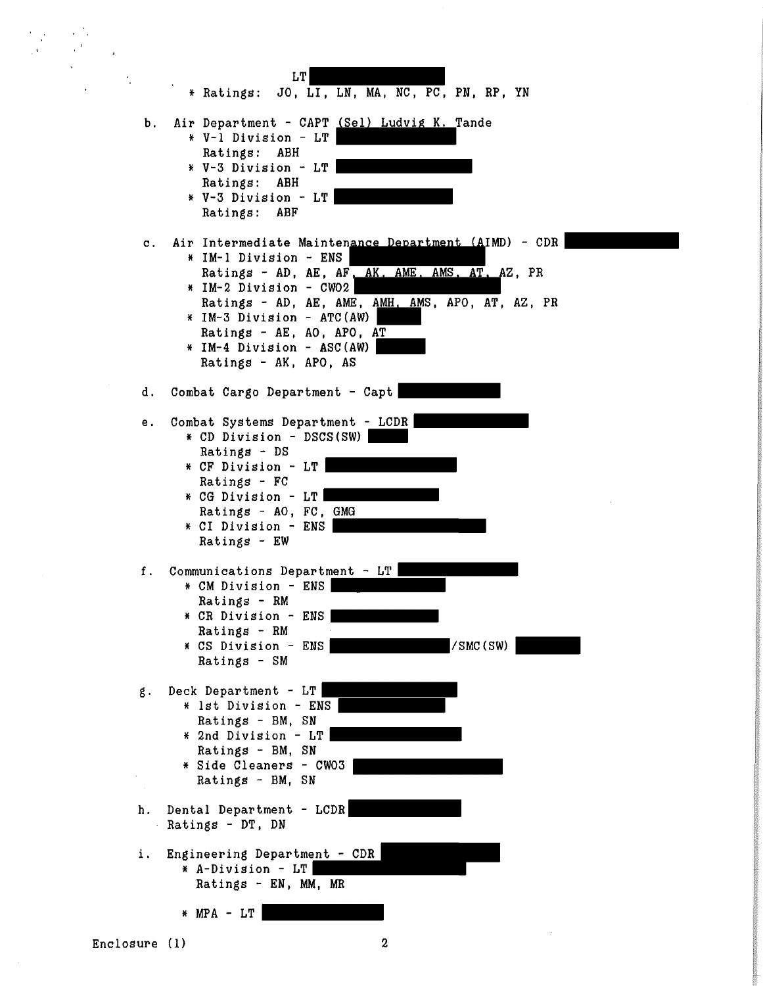|                | <b>LT</b><br>JO, LI, LN, MA, NC, PC, PN, RP, YN<br>* Ratings:                                                                                                                                                                                                                                                                  |
|----------------|--------------------------------------------------------------------------------------------------------------------------------------------------------------------------------------------------------------------------------------------------------------------------------------------------------------------------------|
| Ъ.             | Air Department - CAPT (Sel) Ludvig K. Tande<br>* V-1 Division - LT<br>Ratings:<br>ABH<br>* V-3 Division - LT<br>Ratings:<br>ABH<br>* V-3 Division - LT<br>Ratings: ABF                                                                                                                                                         |
| $\mathbf{c}$ . | Air Intermediate Maintenance Department (AIMD) - CDR<br>* IM-1 Division - ENS<br>Ratings - AD, AE, AF, AK, AME, AMS, AT, AZ, PR<br>* IM-2 Division - CWO2<br>Ratings - AD, AE, AME, AMH, AMS, APO, AT, AZ, PR<br>* IM-3 Division - ATC (AW)<br>Ratings - AE, AO, APO, AT<br>* IM-4 Division - ASC(AW)<br>Ratings - AK, APO, AS |
| d.             | Combat Cargo Department - Capt                                                                                                                                                                                                                                                                                                 |
| е.             | Combat Systems Department - LCDR<br>* CD Division - DSCS(SW)<br>Ratings - $DS$<br>* CF Division - LT<br>Ratings - $FC$<br>* CG Division - LT<br>Ratings - AO, FC, GMG<br>* CI Division - ENS<br>Ratings - EW                                                                                                                   |
| f.             | Communications Department - LT<br>* CM Division - ENS<br>Ratings - RM<br>* CR Division - ENS<br>Ratings - RM<br>/SMC(SW)<br>* CS Division - ENS<br>Ratings - SM                                                                                                                                                                |
| g.             | Deck Department - LT<br>* 1st Division - ENS<br>Ratings - BM, SN<br>* 2nd Division - LT<br>Ratings - BM, SN<br>* Side Cleaners - CW03                                                                                                                                                                                          |
|                | Ratings - BM, SN                                                                                                                                                                                                                                                                                                               |
| h.             | Dental Department - LCDR<br>Ratings - DT, DN                                                                                                                                                                                                                                                                                   |
| i.             | Engineering Department - CDR<br>* A-Division - LT<br>Ratings - EN, MM, MR<br>$*$ MPA - $LT$                                                                                                                                                                                                                                    |
|                |                                                                                                                                                                                                                                                                                                                                |

Enclosure (1) 2

 $\label{eq:2} \begin{array}{l} \mathcal{F}_{\mathcal{A}}(\mathbf{r})=\mathcal{F}_{\mathcal{A}}(\mathbf{r})\\ \mathcal{F}_{\mathcal{A}}(\mathbf{r})=\mathcal{F}_{\mathcal{A}}(\mathbf{r}) \end{array}$ 

 $\ddot{\phantom{1}}$ 

 $\bar{b}$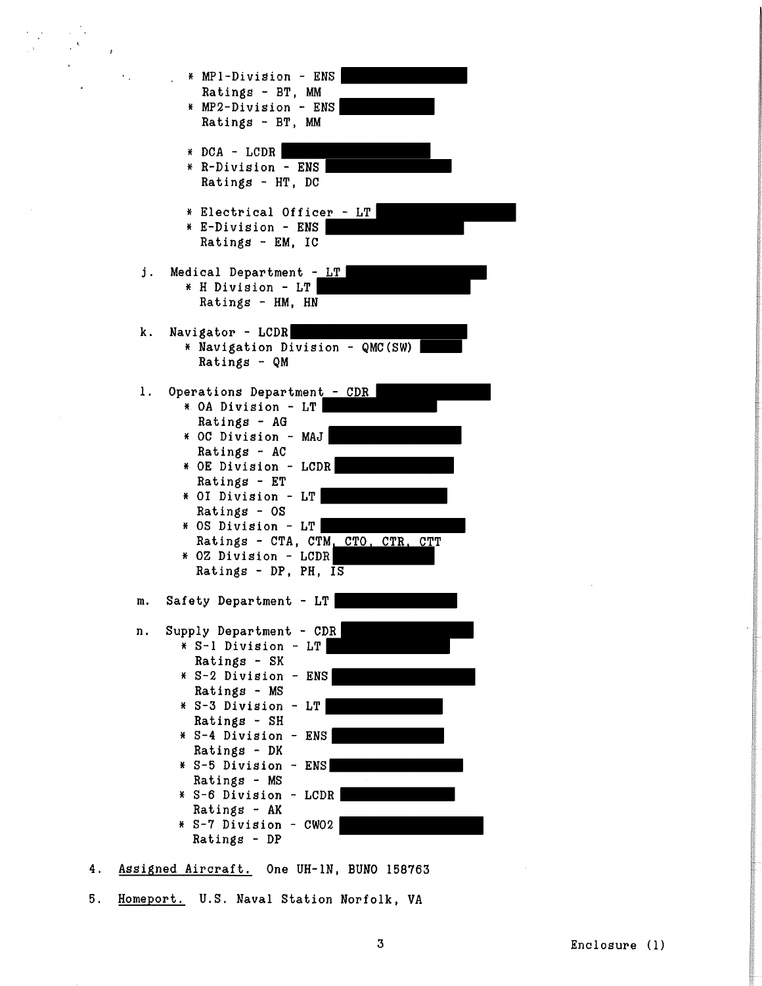

- 4. Assigned Aircraft. One UH-IN, BUNO 158763
- 5. Homeport. U.S. Naval Station Norfolk, VA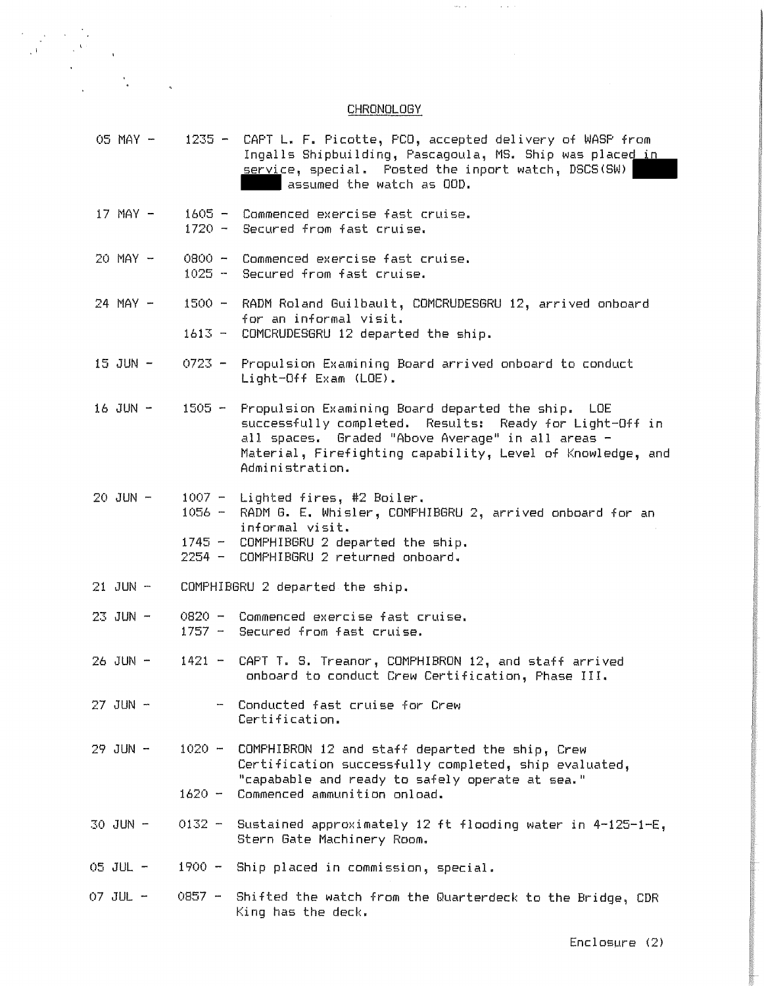## CHRONOLOGY

 $05$  MAY  $17$  MAY  $20$  MAY  $24$  MAY  $15$  JUN  $16$  JUN  $-$ 1235 - CAPT L. F. Picotte, PCO, accepted delivery of WASP from CHET L. F. FICOLLE, FCO, accepted defivery of wher from<br>Ingalls Shipbuilding, Pascagoula, MS. Ship was placed in<br>service, special. Posted the inport watch, DSCS(SW)  $\vert$  assumed the watch as  $000$ . 1605 - Commenced exercise fast cruise.<br>1720 - Secured from fast cruise. Secured from fast cruise. 0800 - Commenced exercise fast cruise. 1025 - Secured from fast cruise. 1500 - RADM Roland Guilbault, COMCRUDESGRU 12, arrived onboard for an informal visit. 1613 - COMCRUDESGRU 12 departed the ship. 0723 - Propulsion Examining Board arrived onboard to conduct Light-Off Exam (LOE). 1505 - Propulsion Examining Board departed the ship. LOE successfully completed. Results: Ready for Light-Off in all spaces. Graded "Above Average" in all areas -

 $20$  JUN  $-$ 1007 - Lighted fires, #2 Boiler. 1056 - RADM G. E. Whisler, COMPHIBGRU 2, arrived onboard for an informal visit. 1745 - COMPHIBGRU 2 departed the ship. 2254 - COMPHIBGRU 2 returned onboard.

Material, Firefighting capability, Level of Knowledge, and

- $21$  JUN  $-$ COMPHIBGRU 2 departed the ship.
- $23$  JUN  $-$ 0820 Commenced exercise fast cruise. l.757 - Secured from fast cruise.

Administration.

- $26$  JUN  $-$ 1421 - CAPT T. S. Treanor, COMPHIBRON 12, and staff arrived onboard to conduct Crew Certification, Phase III.
- $27$  JUN  $-$ Conducted fast cruise for Crew Certification.
- $29$  JUN  $-$ 1020 - COMPHIBRON 12 and staff departed the ship, Crew Certification successfully completed, ship evaluated, "capabable and ready to safely operate at sea." 1620 - Commenced ammunition onload.
- 30 JUN  $0132 -$  Sustained approximately 12 ft flooding water in 4-125-1-E, Stern Gate Machinery Room.
- 05 JUL 1900 - Ship placed in commission, special.
- 07 JUL 0857 - Shifted the watch from the Quarterdeck to the Bridge, CDR King has the deck,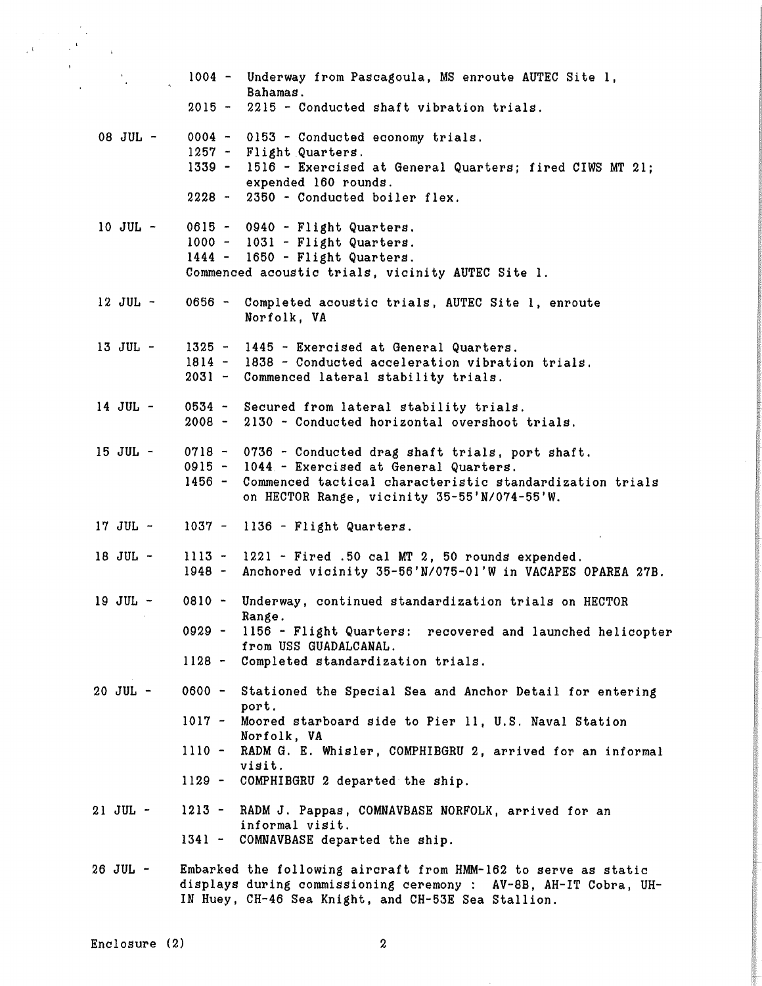|              |          | 1004 - Underway from Pascagoula, MS enroute AUTEC Site 1,<br>Bahamas.  |
|--------------|----------|------------------------------------------------------------------------|
|              |          | 2015 - 2215 - Conducted shaft vibration trials.                        |
| 08 JUL -     |          | 0004 - 0153 - Conducted economy trials.                                |
|              |          | 1257 - Flight Quarters.                                                |
|              |          | 1339 - 1516 - Exercised at General Quarters; fired CIWS MT 21;         |
|              |          | expended 160 rounds.                                                   |
|              |          | 2228 - 2350 - Conducted boiler flex.                                   |
| $10$ JUL $-$ |          | 0615 - 0940 - Flight Quarters.                                         |
|              |          | $1000 - 1031 -$ Flight Quarters.                                       |
|              |          | $1444 - 1650 -$ Flight Quarters.                                       |
|              |          | Commenced acoustic trials, vicinity AUTEC Site 1.                      |
| $12$ JUL $-$ |          | 0656 - Completed acoustic trials, AUTEC Site 1, enroute<br>Norfolk, VA |
| $13$ JUL $-$ |          | 1325 - 1445 - Exercised at General Quarters.                           |
|              |          | 1814 - 1838 - Conducted acceleration vibration trials.                 |
|              |          | 2031 - Commenced lateral stability trials.                             |
| $14$ JUL $-$ |          | 0534 - Secured from lateral stability trials.                          |
|              |          | 2008 - 2130 - Conducted horizontal overshoot trials.                   |
| $15$ JUL $-$ |          | 0718 - 0736 - Conducted drag shaft trials, port shaft.                 |
|              |          | 0915 - 1044 - Exercised at General Quarters.                           |
|              |          | 1456 - Commenced tactical characteristic standardization trials        |
|              |          | on HECTOR Range, vicinity 35-55'N/074-55'W.                            |
| $17$ JUL $-$ |          | $1037 - 1136$ - Flight Quarters.                                       |
| 18 JUL -     |          | $1113 - 1221 -$ Fired .50 cal MT 2, 50 rounds expended.                |
|              |          | 1948 - Anchored vicinity 35-56'N/075-01'W in VACAPES OPAREA 27B.       |
| $19$ JUL $-$ |          | 0810 - Underway, continued standardization trials on HECTOR<br>Range.  |
|              | 0929 -   | 1156 - Flight Quarters: recovered and launched helicopter              |
|              |          | from USS GUADALCANAL.                                                  |
|              | $1128 -$ | Completed standardization trials.                                      |
| 20 JUL -     | $0600 -$ | Stationed the Special Sea and Anchor Detail for entering               |
|              | $1017 -$ | port.<br>Moored starboard side to Pier 11, U.S. Naval Station          |
|              |          | Norfolk, VA                                                            |
|              | $1110 -$ | RADM G. E. Whisler, COMPHIBGRU 2, arrived for an informal<br>visit.    |
|              | $1129 -$ | COMPHIBGRU 2 departed the ship.                                        |
| 21 JUL -     | $1213 -$ | RADM J. Pappas, COMNAVBASE NORFOLK, arrived for an                     |
|              |          | informal visit.                                                        |
|              |          | 1341 - COMNAVBASE departed the ship.                                   |
| 26 JUL -     |          | Embarked the following aircraft from HMM-162 to serve as static        |
|              |          | displays during commissioning ceremony : AV-8B, AH-IT Cobra, UH-       |
|              |          | IN Huey, CH-46 Sea Knight, and CH-53E Sea Stallion.                    |

 $\hat{\mathcal{A}}$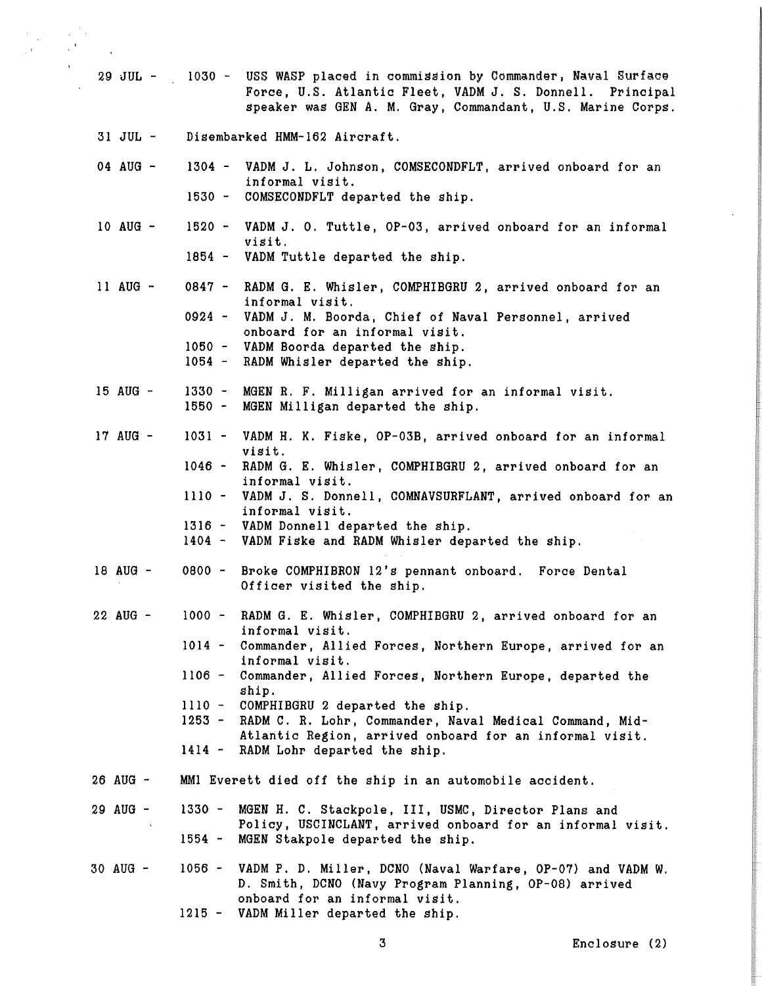- $29$  JUL 1030 -USS WASP placed in commission by Commander, Naval Surface Force, U.S. Atlantic Fleet, VADM J. S. Donnell. Principal speaker was GEN A. M. Gray, Commandant, U.S. Marine Corps.
- 31 JUL Disembarked HMM-162 Aircraft.

 $\frac{1}{2} \sum_{i=1}^n \frac{1}{2} \sum_{j=1}^n \frac{1}{2} \sum_{j=1}^n \frac{1}{2} \sum_{j=1}^n \frac{1}{2} \sum_{j=1}^n \frac{1}{2} \sum_{j=1}^n \frac{1}{2} \sum_{j=1}^n \frac{1}{2} \sum_{j=1}^n \frac{1}{2} \sum_{j=1}^n \frac{1}{2} \sum_{j=1}^n \frac{1}{2} \sum_{j=1}^n \frac{1}{2} \sum_{j=1}^n \frac{1}{2} \sum_{j=1}^n \frac{1}{2} \sum_{j=$ 

- 04 AUG 1304 - VADM J. L. Johnson, COMSECONDFLT, arrived onboard for an informal visit. 1530 - COMSECONDFLT departed the ship.
- 10 AUG 1520 - VADM J. 0. Tuttle, OP-03, arrived onboard for an informal visit. 1854 - VADM Tuttle departed the ship.
- 11 AUG 0847 - 0924 - 1050 - 1054 - RADM G. E. Whisler, COMPHIBGRU 2, arrived onboard for an informal visit. VADM J. M. Boorda, Chief of Naval Personnel, arrived onboard for an informal visit. VADM Boorda departed the ship. RADM Whisler departed the ship.
- 15 AUG 1330 - 1550 - MGEN Milligan departed the ship. MGEN R. F. Milligan arrived for an informal visit.
- 17 AUG 1031 - VADM H. K. Fiske, OP-03B, arrived onboard for an informal 1046 - 1110 - VADM J. S. Donnell, COMNAVSURFLANT, arrived onboard for an visit. RADM G. E. Whisler, COMPHIBGRU 2, arrived onboard for an informal visit. informal visit.
	- 1316 VADM Donnell departed the ship.
	- 1404 VADM Fiske and RADM Whisler departed the ship.
- 18 AUG 0800 - Broke COMPHIBRON 12's pennant onboard. Force Dental Officer visited the ship.
- 22 AUG 1000 - RADM G. E. Whisler, COMPHIBGRU 2, arrived onboard for an 1014 - Commander, Allied Forces, Northern Europe, arrived for an informal visit. informal visit.
	- 1106 Commander, Allied Forces, Northern Europe, departed the ship.
	- 1110 COMPHIBGRU 2 departed the ship.
	- 1253 1414 - RADM Lohr departed the ship. RADM C. R. Lohr, Commander, Naval Medical Command, Mid-Atlantic Region, arrived onboard for an informal visit.
- $26$  AUG  $-$ MMl Everett died off the ship in an automobile accident.
- 29 AUG 1330 - MGEN H. C. Stackpole, III, USMC, Director Plans and Policy, USCINCLANT, arrived onboard for an informal visit. 1554 - MGEN Stakpole departed the ship.
- 30 AUG 1056 - VADM P. D. Miller, DCNO (Naval Warfare, OP-07) and VADM W. D. Smith, DCNO (Navy Program Planning, OP-08) arrived onboard for an informal visit. 1215 - VADM Miller departed the ship.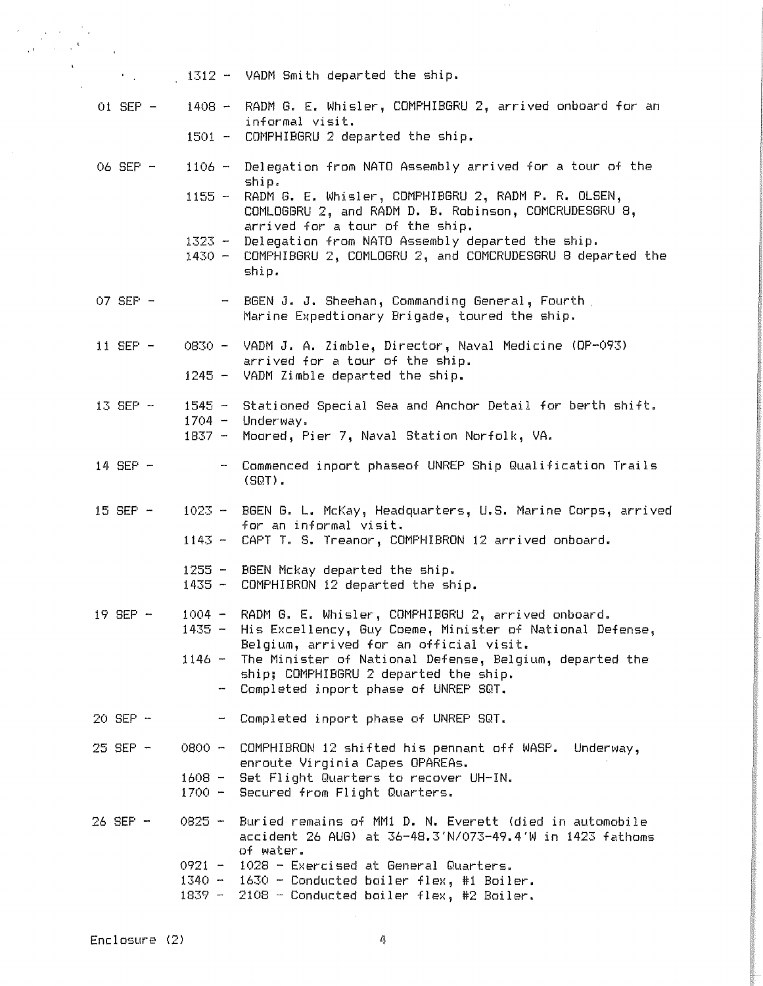1312 - VADM Smith departed the ship.

- $01$  SEP  $-$ 1408 - RADM G. E. Whisler, COMPHIBGRU 2, arrived onboard for an informal visit. 1501 - COMPHIBGRU 2 departed the ship.
- 06 SEP 1106 - Delegation from NATO Assembly arrived for a tour of the ship. 1155 - RADM G. E. Whisler, COMPHIBGRU 2, RADM P. R. OLSEN,
	- COMLOGGRU 2, and RADM D. B. Robinson, COMCRUDESGRU 8, arrived for a tour of the ship.
	- 1323 Delegation from NATO Assembly departed the ship.<br>1430 COMPHIBGRU 2, COMLOGRU 2, and COMCRUDESGRU 8 dep COMPHIBGRU 2, COMLOGRU 2, and COMCRUDESGRU 8 departed the ship.
- 07 SEP BGEN J. J. Sheehan, Commanding General, Fourth. Marine Expedtionary Brigade, toured the ship.
- 11 SEP 0830 - VADM J. A. Zimble, Director, Naval Medicine (OP-093) 1245 - VADM Zimble departed the ship. arrived for a tour of the ship.
- 13 SEP 1545 - Stationed Special Sea and Anchor Detail for berth shift. 1704 - Underway. 1837 - Moored, Pier 7, Naval Station Norfolk, VA.
- 14 SEP Commenced inport phaseof UNREP Ship Qualification Trails (SQT).
- 15 SEP 1023 - BGEN G. L. McKay, Headquarters, U.S. Marine Corps, arrived for an informal visit. 1143 - CAPT T. S. Treanor, COMPHIBRON 12 arrived onboard.
	- 1255 BGEN Mckay departed the ship. 1435 - COMPHIBRON 12 departed the ship.
- 19 SEP 1004 - RADM G. E. Whisler, COMPHIBGRU 2, arrived onboard. His Excellency, Guy Coeme, Minister of National Defense, Belgium, arrived for an official visit. 1146 - The Minister of National Defense, Belgium, departed the ship; COMPHIBGRU 2 departed the ship.
	- Completed inport phase of UNREP SQT.
- 20 SEP - Completed inport phase of UNREP SQT.
- 25 SEP 0800 - COMPHIBRON 12 shifted his pennant off WASP. Underway, enroute Virginia Capes OPAREAs. 1608 - Set Flight Quarters to recover UH-IN.
	- 1700 Secured from Flight Quarters.
- $26$  SEP  $-$ 0825 - Buried remains of MM1 D. N. Everett (died in automobile accident 26 AUG) at 36-48.3'N/073-49.4'W in 1423 fathoms of water. 0921 - 1028 - Exercised at General Quarters. 1340 - 1630 - Conducted boiler flex, #1 Boiler. 1839 - 2108 - Conducted boiler flex, #2 Boiler.

 $\sim 10^{-1}$  k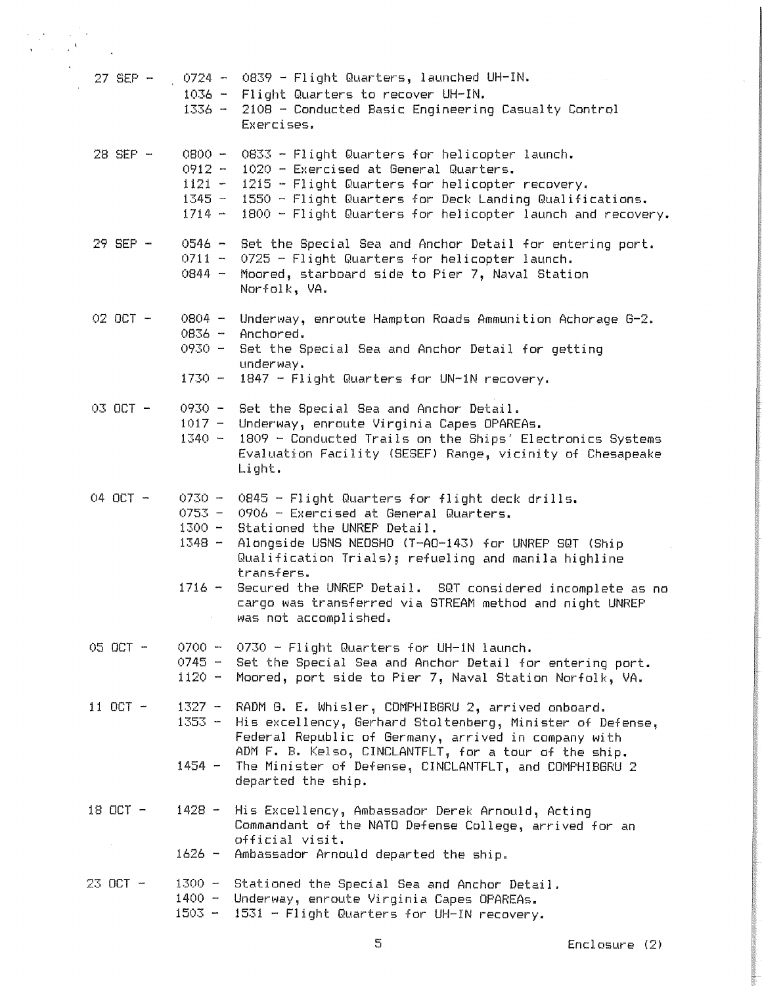| $\bullet$ |                        |                                | 27 SEP - 0724 - 0839 - Flight Quarters, launched UH-IN.<br>1036 - Flight Quarters to recover UH-IN.<br>1336 - 2108 - Conducted Basic Engineering Casualty Control<br>Exercises.                                                                                                                                                                                                                                            |
|-----------|------------------------|--------------------------------|----------------------------------------------------------------------------------------------------------------------------------------------------------------------------------------------------------------------------------------------------------------------------------------------------------------------------------------------------------------------------------------------------------------------------|
|           | 28 SEP -               |                                | 0800 - 0833 - Flight Quarters for helicopter launch.<br>0912 - 1020 - Exercised at General Quarters.<br>1121 - 1215 - Flight Quarters for helicopter recovery.<br>1345 - 1550 - Flight Quarters for Deck Landing Qualifications.<br>1714 - 1800 - Flight Quarters for helicopter launch and recovery.                                                                                                                      |
|           | $29$ SEP $-$           | $0844 -$                       | 0546 - Set the Special Sea and Anchor Detail for entering port.<br>0711 - 0725 - Flight Quarters for helicopter launch.<br>Moored, starboard side to Pier 7, Naval Station<br>Norfolk, VA.                                                                                                                                                                                                                                 |
|           | $02$ OCT $-$           | $0804 -$<br>$0836 -$<br>0930 - | Underway, enroute Hampton Roads Ammunition Achorage 6-2.<br>Anchored.<br>Set the Special Sea and Anchor Detail for getting<br>underway.<br>1730 - 1847 - Flight Quarters for UN-1N recovery.                                                                                                                                                                                                                               |
|           | $03$ OCT $-$           | $1340 -$                       | 0930 - Set the Special Sea and Anchor Detail.<br>1017 - Underway, enroute Virginia Capes OPAREAs.<br>1809 - Conducted Trails on the Ships' Electronics Systems<br>Evaluation Facility (SESEF) Range, vicinity of Chesapeake<br>Light.                                                                                                                                                                                      |
|           | 04 OCT -               | $0730 -$<br>$1348 -$           | 0845 - Flight Quarters for flight deck drills.<br>0753 - 0906 - Exercised at General Quarters.<br>1300 - Stationed the UNREP Detail.<br>Alongside USNS NEOSHO (T-AO-143) for UNREP SQT (Ship<br>Qualification Trials); refueling and manila highline<br>transfers.<br>1716 - Secured the UNREP Detail. SQT considered incomplete as no<br>cargo was transferred via STREAM method and night UNREP<br>was not accomplished. |
|           | $05$ OCT $-$           | $0745 -$<br>$1120 -$           | 0700 - 0730 - Flight Quarters for UH-1N launch.<br>Set the Special Sea and Anchor Detail for entering port.<br>Moored, port side to Pier 7, Naval Station Norfolk, VA.                                                                                                                                                                                                                                                     |
|           | $11$ OCT $-$           |                                | 1327 - RADM G. E. Whisler, COMPHIBGRU 2, arrived onboard.<br>1353 - His excellency, Gerhard Stoltenberg, Minister of Defense,<br>Federal Republic of Germany, arrived in company with<br>ADM F. B. Kelso, CINCLANTFLT, for a tour of the ship.<br>1454 - The Minister of Defense, CINCLANTFLT, and COMPHIBGRU 2<br>departed the ship.                                                                                      |
|           | $18$ OCT $-$<br>$\sim$ |                                | 1428 - His Excellency, Ambassador Derek Arnould, Acting<br>Commandant of the NATO Defense College, arrived for an<br>official visit.<br>1626 - Ambassador Arnould departed the ship.                                                                                                                                                                                                                                       |
|           | $23$ OCT $-$           | $1400 -$<br>$1503 -$           | 1300 - Stationed the Special Sea and Anchor Detail.<br>Underway, enroute Virginia Capes OPAREAs.<br>1531 - Flight Quarters for UH-IN recovery.                                                                                                                                                                                                                                                                             |

 $\ddot{\phantom{a}}$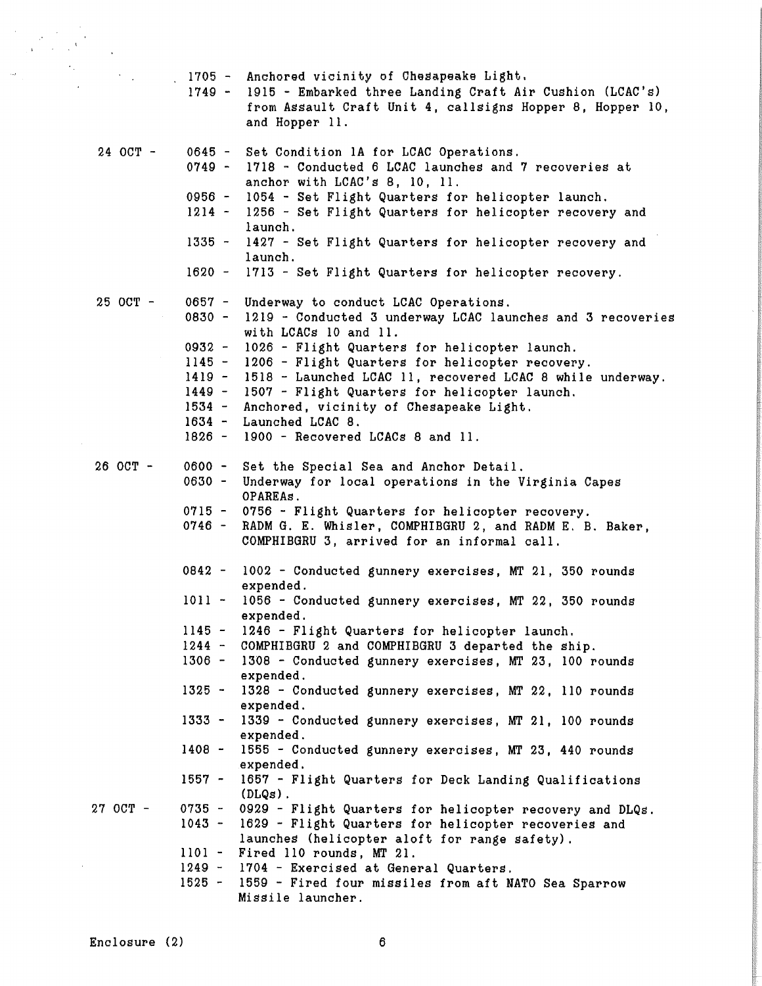| t., |                                                |          |                                                                                                                                                                               |  |
|-----|------------------------------------------------|----------|-------------------------------------------------------------------------------------------------------------------------------------------------------------------------------|--|
|     | $\Delta \phi_{\rm{max}}$ and $\phi_{\rm{max}}$ |          | 1705 - Anchored vicinity of Chesapeake Light.<br>1749 - 1915 - Embarked three Landing Craft Air Cushion (LCAC's)<br>from Assault Craft Unit 4, callsigns Hopper 8, Hopper 10, |  |
|     |                                                |          | and Hopper 11.                                                                                                                                                                |  |
|     | 24 OCT -                                       | $0645 -$ | Set Condition 1A for LCAC Operations.                                                                                                                                         |  |
|     |                                                |          | 0749 - 1718 - Conducted 6 LCAC launches and 7 recoveries at<br>anchor with LCAC's 8, 10, 11.                                                                                  |  |
|     |                                                |          | 0956 - 1054 - Set Flight Quarters for helicopter launch.                                                                                                                      |  |
|     |                                                |          | 1214 - 1256 - Set Flight Quarters for helicopter recovery and<br>launch.                                                                                                      |  |
|     |                                                |          | 1335 - 1427 - Set Flight Quarters for helicopter recovery and<br>launch.                                                                                                      |  |
|     |                                                |          | 1620 - 1713 - Set Flight Quarters for helicopter recovery.                                                                                                                    |  |
|     | 25 OCT -                                       |          | 0657 - Underway to conduct LCAC Operations.                                                                                                                                   |  |
|     |                                                |          | 0830 - 1219 - Conducted 3 underway LCAC launches and 3 recoveries<br>with LCACs 10 and 11.                                                                                    |  |
|     |                                                |          | 0932 - 1026 - Flight Quarters for helicopter launch.                                                                                                                          |  |
|     |                                                |          | 1145 - 1206 - Flight Quarters for helicopter recovery.                                                                                                                        |  |
|     |                                                |          | 1419 - 1518 - Launched LCAC 11, recovered LCAC 8 while underway.                                                                                                              |  |
|     |                                                |          | 1449 - 1507 - Flight Quarters for helicopter launch.                                                                                                                          |  |
|     |                                                |          | 1534 - Anchored, vicinity of Chesapeake Light.                                                                                                                                |  |
|     |                                                |          | 1634 - Launched LCAC 8.                                                                                                                                                       |  |
|     |                                                |          | 1826 - 1900 - Recovered LCACs 8 and 11.                                                                                                                                       |  |
|     | 26 OCT -                                       |          | 0600 - Set the Special Sea and Anchor Detail.                                                                                                                                 |  |
|     |                                                |          | 0630 - Underway for local operations in the Virginia Capes<br>OPAREAs.                                                                                                        |  |
|     |                                                |          | 0715 - 0756 - Flight Quarters for helicopter recovery.                                                                                                                        |  |
|     |                                                |          | 0746 - RADM G. E. Whisler, COMPHIBGRU 2, and RADM E. B. Baker,<br>COMPHIBGRU 3, arrived for an informal call.                                                                 |  |
|     |                                                |          | 0842 - 1002 - Conducted gunnery exercises, MT 21, 350 rounds                                                                                                                  |  |
|     |                                                |          | expended.                                                                                                                                                                     |  |
|     |                                                |          | 1011 - 1056 - Conducted gunnery exercises, MT 22, 350 rounds<br>expended.                                                                                                     |  |
|     |                                                |          | 1145 - 1246 - Flight Quarters for helicopter launch.                                                                                                                          |  |
|     |                                                |          | 1244 - COMPHIBGRU 2 and COMPHIBGRU 3 departed the ship.                                                                                                                       |  |
|     |                                                |          | 1306 - 1308 - Conducted gunnery exercises, MT 23, 100 rounds<br>expended.                                                                                                     |  |
|     |                                                |          | 1325 - 1328 - Conducted gunnery exercises, MT 22, 110 rounds<br>expended.                                                                                                     |  |
|     |                                                |          | 1333 - 1339 - Conducted gunnery exercises, MT 21, 100 rounds<br>expended.                                                                                                     |  |
|     |                                                | $1408 -$ | 1555 - Conducted gunnery exercises, MT 23, 440 rounds<br>expended.                                                                                                            |  |
|     |                                                | $1557 -$ | 1657 - Flight Quarters for Deck Landing Qualifications<br>$(DLQs)$ .                                                                                                          |  |
|     | $270C$ T -                                     | $0735 -$ | 0929 - Flight Quarters for helicopter recovery and DLQs.                                                                                                                      |  |
|     |                                                | $1043 -$ | 1629 - Flight Quarters for helicopter recoveries and<br>launches (helicopter aloft for range safety).                                                                         |  |
|     |                                                | $1101 -$ | Fired 110 rounds, MT 21.                                                                                                                                                      |  |
|     |                                                |          | 1249 - 1704 - Exercised at General Quarters.                                                                                                                                  |  |
|     |                                                | $1525 -$ | 1559 - Fired four missiles from aft NATO Sea Sparrow                                                                                                                          |  |
|     |                                                |          | Missile launcher.                                                                                                                                                             |  |

 $\sim$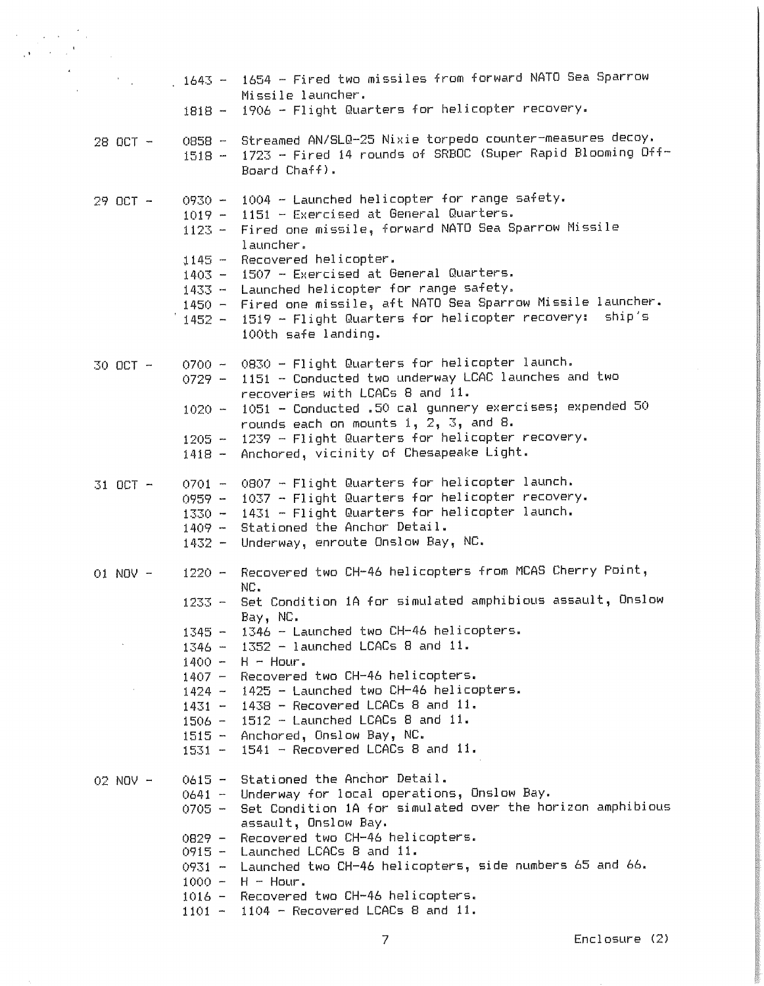| $\mathcal{F}(\mathcal{A})$ and $\mathcal{F}(\mathcal{A})$ |  |                                                        | . 1643 - 1654 - Fired two missiles from forward NATO Sea Sparrow<br>Missile launcher.<br>1818 - 1906 - Flight Quarters for helicopter recovery.                                                                                                                   |
|-----------------------------------------------------------|--|--------------------------------------------------------|-------------------------------------------------------------------------------------------------------------------------------------------------------------------------------------------------------------------------------------------------------------------|
|                                                           |  |                                                        |                                                                                                                                                                                                                                                                   |
| $28$ OCT $-$                                              |  |                                                        | 0858 - Streamed AN/SLQ-25 Nixie torpedo counter-measures decoy.<br>1518 - 1723 - Fired 14 rounds of SRBOC (Super Rapid Blooming Off-<br>$Board$ $Chaff)$ .                                                                                                        |
| $29$ OCT $-$                                              |  | 0930 -<br>$1019 -$<br>$1123 -$                         | 1004 - Launched helicopter for range safety.<br>1151 - Exercised at General Quarters.<br>Fired one missile, forward NATO Sea Sparrow Missile<br>launcher.                                                                                                         |
|                                                           |  |                                                        | 1145 - Recovered helicopter.<br>1403 - 1507 - Exercised at General Quarters.<br>1433 - Launched helicopter for range safety.<br>1450 - Fired one missile, aft NATO Sea Sparrow Missile launcher.<br>1452 - 1519 - Flight Quarters for helicopter recovery: ship's |
|                                                           |  |                                                        | 100th safe landing.                                                                                                                                                                                                                                               |
| $30$ OCT $-$                                              |  | $0729 -$                                               | 0700 - 0830 - Flight Quarters for helicopter launch.<br>1151 - Conducted two underway LCAC launches and two<br>recoveries with LCACs 8 and 11.                                                                                                                    |
|                                                           |  |                                                        | 1020 - 1051 - Conducted .50 cal gunnery exercises; expended 50<br>rounds each on mounts 1, 2, 3, and 8.                                                                                                                                                           |
|                                                           |  | $1418 -$                                               | 1205 - 1239 - Flight Quarters for helicopter recovery.<br>Anchored, vicinity of Chesapeake Light.                                                                                                                                                                 |
| $31$ OCT $-$                                              |  | $0701 -$<br>0959 -<br>$1330 -$<br>$1409 -$<br>$1432 -$ | 0807 - Flight Quarters for helicopter launch.<br>1037 - Flight Quarters for helicopter recovery.<br>1431 - Flight Quarters for helicopter launch.<br>Stationed the Anchor Detail.<br>Underway, enroute Onslow Bay, NC.                                            |
| 01 NOV -                                                  |  |                                                        | 1220 - Recovered two CH-46 helicopters from MCAS Cherry Point,                                                                                                                                                                                                    |
|                                                           |  | $1233 -$                                               | NC.<br>Set Condition 1A for simulated amphibious assault, Onslow                                                                                                                                                                                                  |
|                                                           |  |                                                        | Bay, NC.<br>1345 - 1346 - Launched two CH-46 helicopters.                                                                                                                                                                                                         |
|                                                           |  |                                                        | 1346 - 1352 - launched LCACs 8 and 11.<br>$1400 - H - Hour.$                                                                                                                                                                                                      |
|                                                           |  |                                                        | 1407 - Recovered two CH-46 helicopters.                                                                                                                                                                                                                           |
|                                                           |  |                                                        | 1424 - 1425 - Launched two CH-46 helicopters.                                                                                                                                                                                                                     |
|                                                           |  |                                                        | 1431 - 1438 - Recovered LCACs 8 and 11.<br>1506 - 1512 - Launched LCACs 8 and 11.                                                                                                                                                                                 |
|                                                           |  |                                                        | 1515 - Anchored, Onslow Bay, NC.                                                                                                                                                                                                                                  |
|                                                           |  |                                                        | 1531 - 1541 - Recovered LCACs 8 and 11.                                                                                                                                                                                                                           |
| $02$ NOV $-$                                              |  |                                                        | 0615 - Stationed the Anchor Detail.                                                                                                                                                                                                                               |
|                                                           |  |                                                        | 0641 - Underway for local operations, Onslow Bay.                                                                                                                                                                                                                 |
|                                                           |  |                                                        | 0705 - Set Condition 1A for simulated over the horizon amphibious<br>assault, Onslow Bay.                                                                                                                                                                         |
|                                                           |  |                                                        | 0829 - Recovered two CH-46 helicopters.                                                                                                                                                                                                                           |
|                                                           |  |                                                        | 0915 - Launched LCACs 8 and 11.                                                                                                                                                                                                                                   |
|                                                           |  |                                                        | 0931 - Launched two CH-46 helicopters, side numbers 65 and 66.<br>$1000 - H - H$ our.                                                                                                                                                                             |
|                                                           |  |                                                        | 1016 - Recovered two CH-46 helicopters.                                                                                                                                                                                                                           |
|                                                           |  |                                                        | 1101 - 1104 - Recovered LCACs 8 and 11.                                                                                                                                                                                                                           |

 $\label{eq:2} \mathcal{L}(\mathcal{A}) = \mathcal{L}(\mathcal{A}) \mathcal{L}(\mathcal{A})$  $\label{eq:2} \mathcal{L}_{\mathcal{A}}(\mathbf{y}) = \mathcal{L}_{\mathcal{A}}(\mathbf{y}) \mathcal{L}_{\mathcal{A}}(\mathbf{y})$ 

> $\mathcal{L} = \mathbf{z}^{(1)}$  .  $\sim 100$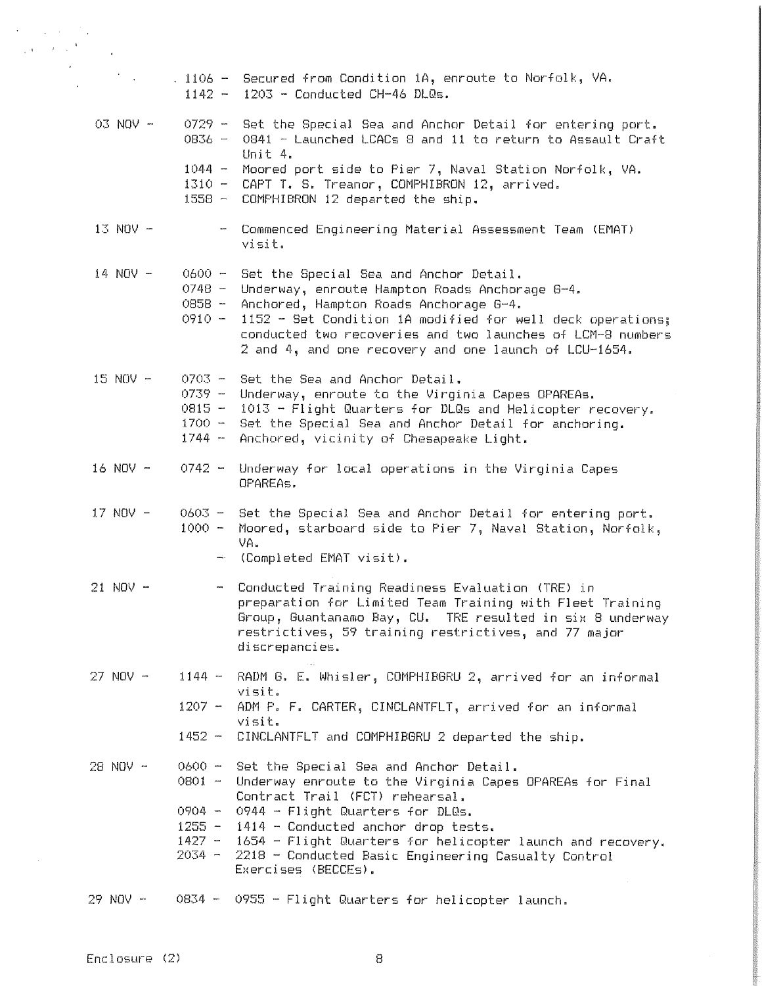| $\sigma_{\rm{max}}=1.00$ and $\sigma_{\rm{max}}=0.001$<br>$\label{eq:2.1} \frac{1}{2} \left( \mathbf{d} \right) = \left( \left( \mathcal{F} \right) \right) \left( \mathbf{d} \right) = \left( \left( \mathbf{d} \right) \right)$ |                                        |                                                      |                                                                                                                                                                                                                                                                                                                                                                     |
|-----------------------------------------------------------------------------------------------------------------------------------------------------------------------------------------------------------------------------------|----------------------------------------|------------------------------------------------------|---------------------------------------------------------------------------------------------------------------------------------------------------------------------------------------------------------------------------------------------------------------------------------------------------------------------------------------------------------------------|
| <b>Contractor</b>                                                                                                                                                                                                                 | $\mathcal{O}(\mathcal{O}_\mathcal{A})$ |                                                      | . 1106 - Secured from Condition 1A, enroute to Norfolk, VA.<br>$1142 - 1203 -$ Conducted CH-46 DLQs.                                                                                                                                                                                                                                                                |
|                                                                                                                                                                                                                                   | 03 NOV -                               | $0729 -$<br>0836 -<br>$1044 -$                       | Set the Special Sea and Anchor Detail for entering port.<br>0841 - Launched LCACs 8 and 11 to return to Assault Craft<br>Unit 4.<br>Moored port side to Pier 7, Naval Station Norfolk, VA.<br>1310 - CAPT T. S. Treanor, COMPHIBRON 12, arrived.<br>1558 - COMPHIBRON 12 departed the ship.                                                                         |
|                                                                                                                                                                                                                                   | $13$ NOV $-$                           | <b>MAG</b>                                           | Commenced Engineering Material Assessment Team (EMAT)<br>visit.                                                                                                                                                                                                                                                                                                     |
|                                                                                                                                                                                                                                   | 14 NOV -                               | 0600 -                                               | Set the Special Sea and Anchor Detail.<br>0748 - Underway, enroute Hampton Roads Anchorage 6-4.<br>0858 - Anchored, Hampton Roads Anchorage G-4.<br>0910 - 1152 - Set Condition 1A modified for well deck operations;<br>conducted two recoveries and two launches of LCM-8 numbers<br>2 and 4, and one recovery and one launch of LCU-1654.                        |
|                                                                                                                                                                                                                                   | 15 NOV -                               | $0703 -$<br>$1700 -$<br>$1744 -$                     | Set the Sea and Anchor Detail.<br>0739 - Underway, enroute to the Virginia Capes OPAREAs.<br>0815 - 1013 - Flight Quarters for DLQs and Helicopter recovery.<br>Set the Special Sea and Anchor Detail for anchoring.<br>Anchored, vicinity of Chesapeake Light.                                                                                                     |
|                                                                                                                                                                                                                                   | 16 NOV -                               |                                                      | 0742 - Underway for local operations in the Virginia Capes<br>OPAREAS.                                                                                                                                                                                                                                                                                              |
|                                                                                                                                                                                                                                   | $17 NOV -$                             |                                                      | 0603 - Set the Special Sea and Anchor Detail for entering port.<br>1000 - Moored, starboard side to Pier 7, Naval Station, Norfolk,<br>VA.<br>(Completed EMAT visit).                                                                                                                                                                                               |
|                                                                                                                                                                                                                                   | $21$ NOV $-$                           |                                                      | Conducted Training Readiness Evaluation (TRE) in<br>preparation for Limited Team Training with Fleet Training<br>Group, Guantanamo Bay, CU. TRE resulted in six 8 underway<br>restrictives, 59 training restrictives, and 77 major<br>discrepancies.                                                                                                                |
|                                                                                                                                                                                                                                   | $27$ NOV $-$                           | $1207 -$<br>$1452 -$                                 | 1144 - RADM G. E. Whisler, COMPHIBGRU 2, arrived for an informal<br>visit.<br>ADM P. F. CARTER, CINCLANTFLT, arrived for an informal<br>visit.<br>CINCLANTFLT and COMPHIBGRU 2 departed the ship.                                                                                                                                                                   |
|                                                                                                                                                                                                                                   | $28$ NOV $-$                           | 0600 -<br>$0801 -$<br>0904 -<br>$1255 -$<br>$2034 -$ | Set the Special Sea and Anchor Detail.<br>Underway enroute to the Virginia Capes OPAREAs for Final<br>Contract Trail (FCT) rehearsal.<br>0944 - Flight Quarters for DLQs.<br>1414 - Conducted anchor drop tests.<br>1427 - 1654 - Flight Quarters for helicopter launch and recovery.<br>2218 - Conducted Basic Engineering Casualty Control<br>Exercises (BECCEs). |
|                                                                                                                                                                                                                                   | 29 NOV -                               |                                                      | 0834 - 0955 - Flight Quarters for helicopter launch.                                                                                                                                                                                                                                                                                                                |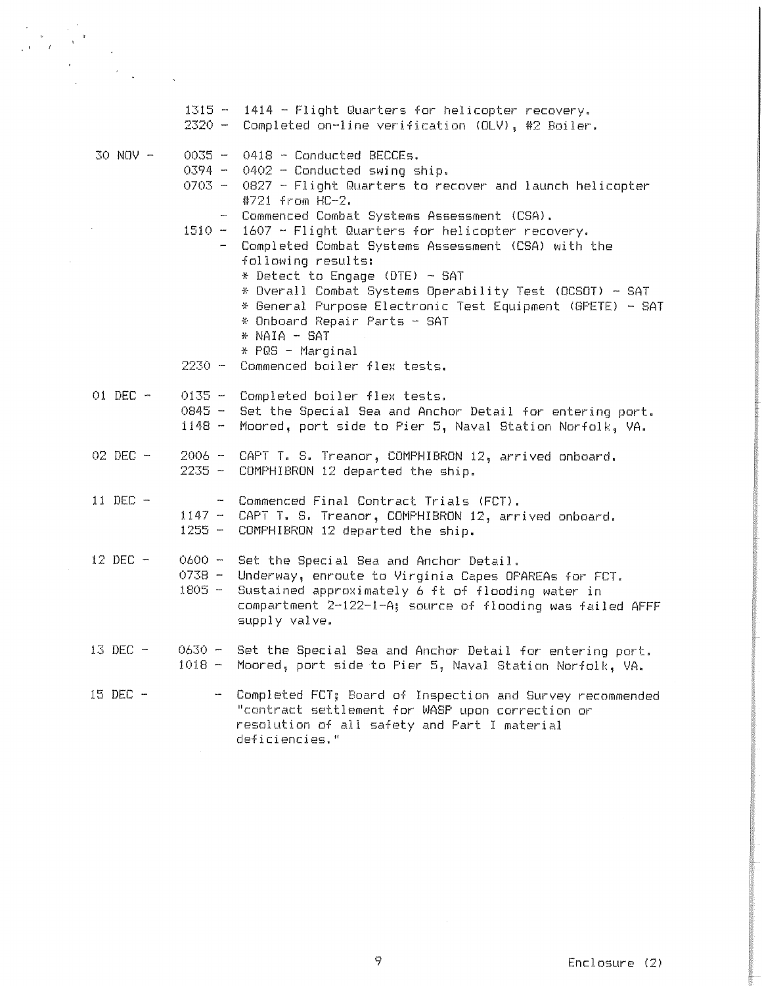|              |                    | 1315 - 1414 - Flight Quarters for helicopter recovery.<br>2320 - Completed on-line verification (OLV), #2 Boiler.                                                                                                                                                                                                                                                                              |  |  |  |
|--------------|--------------------|------------------------------------------------------------------------------------------------------------------------------------------------------------------------------------------------------------------------------------------------------------------------------------------------------------------------------------------------------------------------------------------------|--|--|--|
| $30$ NOV $-$ |                    | $0035 - 0418 -$ Conducted BECCEs.<br>0394 - 0402 - Conducted swing ship.<br>0703 - 0827 - Flight Quarters to recover and launch helicopter<br>#721 from HC-2.                                                                                                                                                                                                                                  |  |  |  |
|              |                    | - Commenced Combat Systems Assessment (CSA).<br>1510 - 1607 - Flight Quarters for helicopter recovery.<br>- Completed Combat Systems Assessment (CSA) with the<br>following results:<br>* Detect to Engage (DTE) - SAT<br>* Overall Combat Systems Operability Test (OCSOT) - SAT<br>* General Purpose Electronic Test Equipment (GFETE) - SAT<br>* Onboard Repair Parts - SAT<br>* NAIA - SAT |  |  |  |
|              |                    | * FQS - Marginal<br>2230 - Commenced boiler flex tests.                                                                                                                                                                                                                                                                                                                                        |  |  |  |
| $01$ DEC $-$ |                    | 0135 - Completed boiler flex tests.<br>0845 - Set the Special Sea and Anchor Detail for entering port.<br>1148 - Moored, port side to Pier 5, Naval Station Norfolk, VA.                                                                                                                                                                                                                       |  |  |  |
| $02$ DEC $-$ |                    | 2006 - CAPT T. S. Treanor, COMPHIBRON 12, arrived onboard.<br>2235 - COMPHIBRON 12 departed the ship.                                                                                                                                                                                                                                                                                          |  |  |  |
| $11$ DEC $-$ |                    | - Commenced Final Contract Trials (FCT).<br>1147 - CAPT T. S. Treanor, COMPHIBRON 12, arrived onboard.<br>1255 - COMPHIBRON 12 departed the ship.                                                                                                                                                                                                                                              |  |  |  |
| $12$ DEC $-$ | $1805 -$           | 0600 - Set the Special Sea and Anchor Detail.<br>0738 - Underway, enroute to Virginia Capes OPAREAs for FCT.<br>Sustained approximately 6 ft of flooding water in<br>compartment 2-122-1-A; source of flooding was failed AFFF<br>supply valve.                                                                                                                                                |  |  |  |
| $13$ DEC $-$ | 0630 -<br>$1018 -$ | Set the Special Sea and Anchor Detail for entering port.<br>Moored, port side to Pier 5, Naval Station Norfolk, VA.                                                                                                                                                                                                                                                                            |  |  |  |
| 15 DEC -     |                    | Completed FCT; Board of Inspection and Survey recommended<br>"contract settlement for WASP upon correction or<br>resolution of all safety and Part I material<br>deficiencies."                                                                                                                                                                                                                |  |  |  |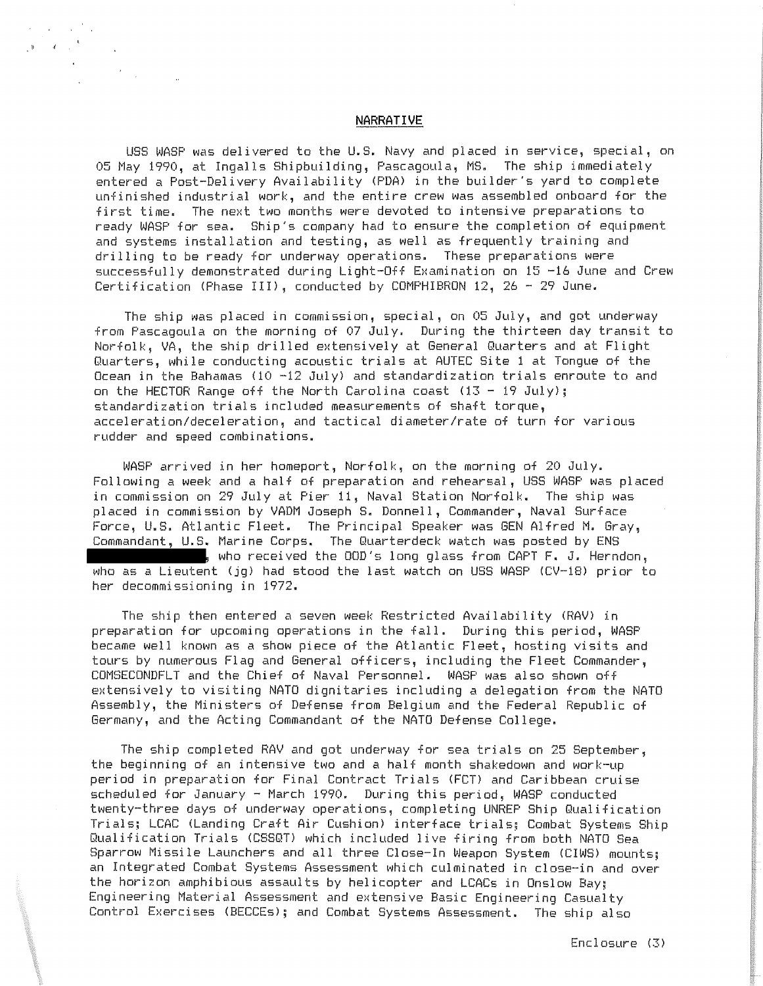## **NARRATIVE**

. .

USS WASP was delivered to the U.S. Navy and placed in service, special, on 05 May 1990, at Ingalls Shipbuilding, Pascagoula, MS. The ship immediately entered a Post-Delivery Availability (PDA> in the builder's yard to complete unfinished industrial work, and the entire crew was assembled onboard for the first time. The next two months were devoted to intensive preparations to ready WASP for sea. Ship's company had to ensure the completion of equipment and systems installation and testing, as well as frequently training and drilling to be ready for underway operations. These preparations were successfully demonstrated during Light-Off Examination on 15 -16 June and Crew Certification (Phase III), conducted by COMPHIBRON 12, 26 - 29 June.

The ship was placed in commission, special, on 05 July, and got underway from Pascagoula on the morning of 07 July. During the thirteen day transit to Norfolk, VA, the ship drilled extensively at General Quarters and at Flight Quarters, while conducting acoustic trials at AUTEC Site 1 at Tongue of the Ocean in the Bahamas (10  $-12$  July) and standardization trials enroute to and on the HECTOR Range off the North Carolina coast  $(13 - 19 \text{ July})$ ; standardization trials included measurements of shaft torque, acceleration/deceleration, and tactical diameter/rate of turn for various rudder and speed combinations.

WASP arrived in her homeport, Norfolk, on the morning of 20 July. Following a week and a half of preparation and rehearsal, USS WASP was placed in commission on 29 July at Pier 11, Naval Station Norfolk. The ship was placed in commission by VADM Joseph S. Donnell, Commander, Naval Surface Force, U.S. Atlantic Fleet. The Principal Speaker was GEN Alfred M. Gray, Commandant, U.S. Marine Corps. The Quarterdeck watch was posted by ENS who received the OOD's long glass from CAPT F. J. Herndon, who as a Lieutent (jg) had stood the last watch on USS WASP (CV-18) prior to her decommissioning in 1972.

The ship then entered a seven week Restricted Availability (RAV) in preparation for upcoming operations in the fall. During this period, WASP became well known as a show piece of the Atlantic Fleet, hosting visits and tours by numerous Flag and General officers, including the Fleet Commander, COMSECONDFLT and the Chief of Naval Personnel. WASP was also shown off extensively to visiting NATO dignitaries including a delegation from the NATO Assembly, the Ministers of Defense from Belgium and the Federal Republic of Germany, and the Acting Commandant of the NATO Defense College.

The ship completed RAV and got underway for sea trials on 25 September, the beginning of an intensive two and a half month shakedown and work-up period in preparation for Final Contract Trials (FCT) and Caribbean cruise scheduled for January - March 1990. During this period, WASP conducted twenty-three days of underway operations, completing UNREP Ship Qualification Trials; LCAC (Landing Craft Air Cushion) interface trials; Combat Systems Ship Qualification Trials (CSSQT) which included live firing from both NATO Sea Sparrow Missile Launchers and all three Close-In Weapon System (CIWS) mounts; an Integrated Combat Systems Assessment which culminated in close-in and over the horizon amphibious assaults by helicopter and LCACs in Onslow Bay; Engineering Material Assessment and extensive Basic Engineering Casualty Control Exercises (BECCEs>; and Combat Systems Assessment. The ship also